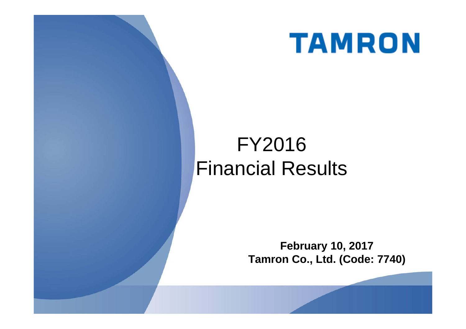

# FY2016 Financial Results

**February 10, 2017 Tamron Co., Ltd. (Code: 7740)**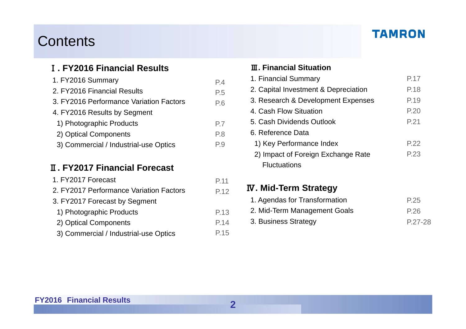## Contents

#### Ⅰ**. FY2016 Financial Results**

| 1. FY2016 Summary                       | P.4 |
|-----------------------------------------|-----|
| 2. FY2016 Financial Results             | P.5 |
| 3. FY2016 Performance Variation Factors | P.6 |
| 4. FY2016 Results by Segment            |     |
| 1) Photographic Products                | P.7 |
| 2) Optical Components                   | P.8 |
| 3) Commercial / Industrial-use Optics   | P.9 |

#### Ⅱ**. FY2017 Financial Forecast**

| 1. FY2017 Forecast                      | P.11 |
|-----------------------------------------|------|
| 2. FY2017 Performance Variation Factors | P.12 |
| 3. FY2017 Forecast by Segment           |      |
| 1) Photographic Products                | P.13 |
| 2) Optical Components                   | P.14 |
| 3) Commercial / Industrial-use Optics   | P.15 |

#### Ⅲ**. Financial Situation**

| 1. Financial Summary                 | P.17 |
|--------------------------------------|------|
| 2. Capital Investment & Depreciation | P.18 |
| 3. Research & Development Expenses   | P.19 |
| 4. Cash Flow Situation               | P.20 |
| 5. Cash Dividends Outlook            | P.21 |
| 6. Reference Data                    |      |
| 1) Key Performance Index             | P.22 |
| 2) Impact of Foreign Exchange Rate   | P.23 |
| <b>Fluctuations</b>                  |      |

#### Ⅳ**. Mid-Term Strategy**

| 1. Agendas for Transformation | P.25      |
|-------------------------------|-----------|
| 2. Mid-Term Management Goals  | P.26      |
| 3. Business Strategy          | $P.27-28$ |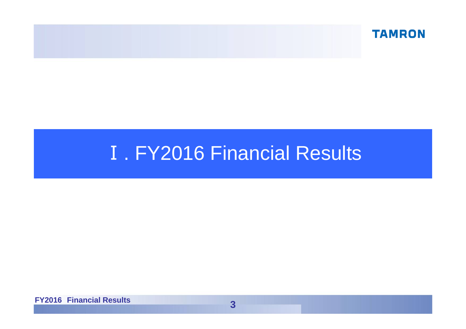

# **I. FY2016 Financial Results**

**FY2016 Financial Results**

**3**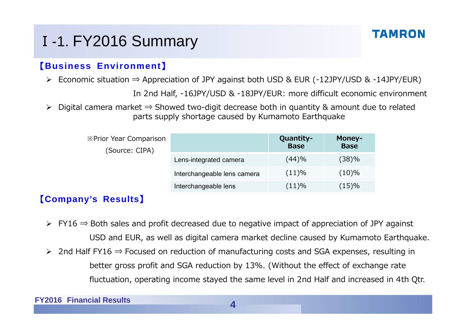# <sup>Ⅰ</sup>-1. FY2016 Summary

#### 【**Business Environment**】

Economic situation ⇒ Appreciation of JPY against both USD & EUR (-12JPY/USD & -14JPY/EUR)

In 2nd Half, -16JPY/USD & -18JPY/EUR: more difficult economic environment

 Digital camera market ⇒ Showed two-digit decrease both in quantity & amount due to related parts supply shortage caused by Kumamoto Earthquake

| <b>※Prior Year Comparison</b><br>(Source: CIPA) |                             | Quantity-<br><b>Base</b> | Money-<br><b>Base</b> |
|-------------------------------------------------|-----------------------------|--------------------------|-----------------------|
|                                                 | Lens-integrated camera      | (44)%                    | (38)%                 |
|                                                 | Interchangeable lens camera | (11)%                    | $(10)\%$              |
|                                                 | Interchangeable lens        | (11)%                    | (15)%                 |

#### 【**Company's Results**】

- $\triangleright$  FY16  $\Rightarrow$  Both sales and profit decreased due to negative impact of appreciation of JPY against USD and EUR, as well as digital camera market decline caused by Kumamoto Earthquake.
- 2nd Half FY16 ⇒ Focused on reduction of manufacturing costs and SGA expenses, resulting in better gross profit and SGA reduction by 13%. (Without the effect of exchange rate fluctuation, operating income stayed the same level in 2nd Half and increased in 4th Qtr.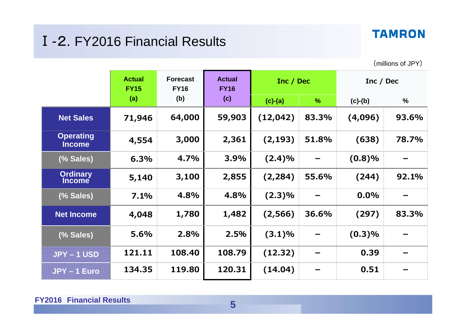## Ⅰ-2. FY2016 Financial Results

(millions of JPY)

|                                   | <b>Actual</b><br><b>FY15</b> | <b>Forecast</b><br><b>FY16</b> | <b>Actual</b><br><b>FY16</b> | Inc / Dec |       | Inc / Dec |       |  |     |           |      |           |               |
|-----------------------------------|------------------------------|--------------------------------|------------------------------|-----------|-------|-----------|-------|--|-----|-----------|------|-----------|---------------|
|                                   | (a)                          | (b)                            |                              |           |       |           |       |  | (c) | $(c)-(a)$ | $\%$ | $(c)-(b)$ | $\frac{0}{0}$ |
| <b>Net Sales</b>                  | 71,946                       | 64,000                         | 59,903                       | (12, 042) | 83.3% | (4,096)   | 93.6% |  |     |           |      |           |               |
| <b>Operating</b><br><b>Income</b> | 4,554                        | 3,000                          | 2,361                        | (2, 193)  | 51.8% | (638)     | 78.7% |  |     |           |      |           |               |
| (% Sales)                         | 6.3%                         | 4.7%                           | 3.9%                         | (2.4)%    |       | (0.8)%    |       |  |     |           |      |           |               |
| <b>Ordinary</b><br><b>Income</b>  | 5,140                        | 3,100                          | 2,855                        | (2, 284)  | 55.6% | (244)     | 92.1% |  |     |           |      |           |               |
| (% Sales)                         | 7.1%                         | 4.8%                           | 4.8%                         | $(2.3)\%$ |       | $0.0\%$   |       |  |     |           |      |           |               |
| <b>Net Income</b>                 | 4,048                        | 1,780                          | 1,482                        | (2, 566)  | 36.6% | (297)     | 83.3% |  |     |           |      |           |               |
| (% Sales)                         | 5.6%                         | 2.8%                           | 2.5%                         | (3.1)%    |       | (0.3)%    |       |  |     |           |      |           |               |
| <b>JPY-1 USD</b>                  | 121.11                       | 108.40                         | 108.79                       | (12.32)   |       | 0.39      |       |  |     |           |      |           |               |
| JPY-1 Euro                        | 134.35                       | 119.80                         | 120.31                       | (14.04)   |       | 0.51      |       |  |     |           |      |           |               |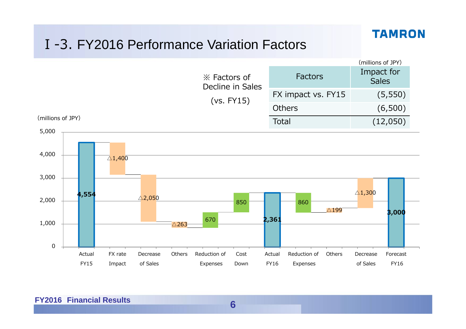## Ⅰ-3. FY2016 Performance Variation Factors

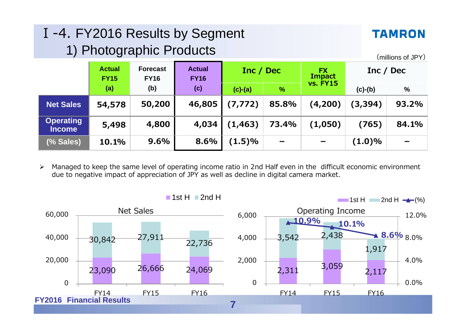## Ⅰ-4. FY2016 Results by Segment 1) Photographic Products

#### **TAMRON**

(millions of JPY)

|                                   | <b>Actual</b><br><b>FY15</b> | <b>Forecast</b><br><b>FY16</b> | <b>Actual</b><br><b>FY16</b> | Inc / Dec |                          | <b>FX</b><br><b>Impact</b> | Inc / Dec |               |
|-----------------------------------|------------------------------|--------------------------------|------------------------------|-----------|--------------------------|----------------------------|-----------|---------------|
|                                   | (a)                          | (b)                            | (c)                          | $(c)-(a)$ | $\frac{9}{6}$            | <b>vs. FY15</b>            | $(c)-(b)$ | $\frac{0}{0}$ |
| <b>Net Sales</b>                  | 54,578                       | 50,200                         | 46,805                       | (7, 772)  | 85.8%                    | (4,200)                    | (3, 394)  | 93.2%         |
| <b>Operating</b><br><b>Income</b> | 5,498                        | 4,800                          | 4,034                        | (1, 463)  | 73.4%                    | (1,050)                    | (765)     | 84.1%         |
| (% Sales)                         | 10.1%                        | 9.6%                           | 8.6%                         | (1.5)%    | $\overline{\phantom{a}}$ | $\overline{\phantom{m}}$   | $(1.0)\%$ | $\equiv$      |

 $\triangleright$  Managed to keep the same level of operating income ratio in 2nd Half even in the difficult economic environment due to negative impact of appreciation of JPY as well as decline in digital camera market.

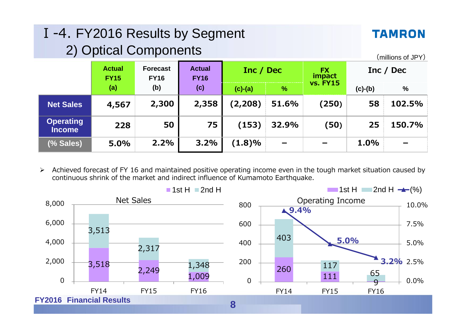| I-4. FY2016 Results by Segment<br>2) Optical Components |                              |                                |                              |           |               |                                        |           | <b>TAMRON</b><br>(millions of JPY) |
|---------------------------------------------------------|------------------------------|--------------------------------|------------------------------|-----------|---------------|----------------------------------------|-----------|------------------------------------|
|                                                         | <b>Actual</b><br><b>FY15</b> | <b>Forecast</b><br><b>FY16</b> | <b>Actual</b><br><b>FY16</b> | Inc / Dec |               | <b>FX</b><br>impact<br><b>vs. FY15</b> |           | Inc / Dec                          |
|                                                         | (a)                          | (b)                            | (c)                          | $(c)-(a)$ | $\frac{9}{6}$ |                                        | $(c)-(b)$ | %                                  |
| <b>Net Sales</b>                                        | 4,567                        | 2,300                          | 2,358                        | (2, 208)  | 51.6%         | (250)                                  | 58        | 102.5%                             |
| <b>Operating</b><br><b>Income</b>                       | 228                          | 50                             | 75                           | (153)     | 32.9%         | (50)                                   | 25        | 150.7%                             |
| (% Sales)                                               | 5.0%                         | 2.2%                           | 3.2%                         | $(1.8)\%$ |               |                                        | 1.0%      |                                    |

 $\blacktriangleright$  Achieved forecast of FY 16 and maintained positive operating income even in the tough market situation caused by continuous shrink of the market and indirect influence of Kumamoto Earthquake.

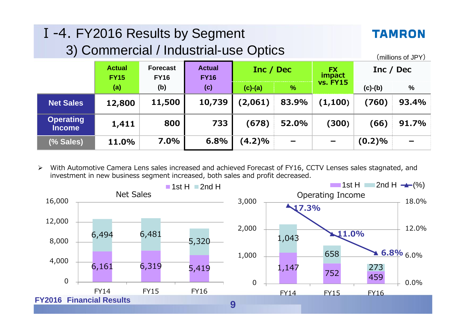| I-4. FY2016 Results by Segment<br>3) Commercial / Industrial-use Optics |                              |                                |                              |           |                          |                     |           | <b>TAMRON</b><br>(millions of JPY) |
|-------------------------------------------------------------------------|------------------------------|--------------------------------|------------------------------|-----------|--------------------------|---------------------|-----------|------------------------------------|
|                                                                         | <b>Actual</b><br><b>FY15</b> | <b>Forecast</b><br><b>FY16</b> | <b>Actual</b><br><b>FY16</b> | Inc / Dec |                          | <b>FX</b><br>impact | Inc / Dec |                                    |
|                                                                         | (a)                          | (b)                            | (c)                          | $(c)-(a)$ | $\frac{9}{6}$            | <b>vs. FY15</b>     | $(c)-(b)$ | %                                  |
| <b>Net Sales</b>                                                        | 12,800                       | 11,500                         | 10,739                       | (2,061)   | 83.9%                    | (1, 100)            | (760)     | 93.4%                              |
| <b>Operating</b><br><b>Income</b>                                       | 1,411                        | 800                            | 733                          | (678)     | 52.0%                    | (300)               | (66)      | 91.7%                              |
| (% Sales)                                                               | 11.0%                        | 7.0%                           | 6.8%                         | $(4.2)\%$ | $\overline{\phantom{m}}$ |                     | (0.2)%    |                                    |

 $\blacktriangleright$  With Automotive Camera Lens sales increased and achieved Forecast of FY16, CCTV Lenses sales stagnated, and investment in new business segment increased, both sales and profit decreased.

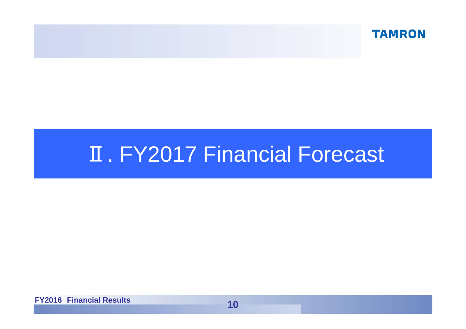

# **II. FY2017 Financial Forecast**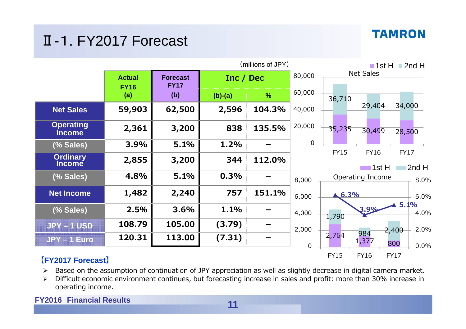## Ⅱ-1. FY2017 Forecast

|                                   |                              | (millions of JPY)              |           |               |             |             |                      | $\blacksquare$ 1st H $\blacksquare$ 2nd H |       |
|-----------------------------------|------------------------------|--------------------------------|-----------|---------------|-------------|-------------|----------------------|-------------------------------------------|-------|
|                                   | <b>Actual</b><br><b>FY16</b> | <b>Forecast</b><br><b>FY17</b> |           | Inc / Dec     |             |             | <b>Net Sales</b>     |                                           |       |
|                                   | (a)                          | (b)                            | $(b)-(a)$ | $\frac{9}{6}$ | 60,000      | 36,710      |                      |                                           |       |
| <b>Net Sales</b>                  | 59,903                       | 62,500                         | 2,596     | 104.3%        | 40,000      |             | 29,404               | 34,000                                    |       |
| <b>Operating</b><br><b>Income</b> | 2,361                        | 3,200                          | 838       | 135.5%        | 20,000      | 35,235      | 30,499               | 28,500                                    |       |
| (% Sales)                         | 3.9%                         | 5.1%                           | 1.2%      |               | 0           |             |                      |                                           |       |
| <b>Ordinary</b><br><b>Income</b>  | 2,855                        | 3,200                          | 344       | 112.0%        |             | <b>FY15</b> | <b>FY16</b><br>1st H | <b>FY17</b>                               | 2nd H |
| (% Sales)                         | 4.8%                         | 5.1%                           | 0.3%      |               | 8,000       |             | Operating Income     |                                           | 8.0%  |
| <b>Net Income</b>                 | 1,482                        | 2,240                          | 757       | 151.1%        | 6,000       | 6.3%        |                      |                                           | 6.0%  |
| (% Sales)                         | 2.5%                         | 3.6%                           | 1.1%      |               | 4,000       | 1,790       | 3.9%                 | $\blacktriangle$ 5.1%                     | 4.0%  |
| <b>JPY-1 USD</b>                  | 108.79                       | 105.00                         | (3.79)    |               | 2,000       |             |                      | 2,400                                     | 2.0%  |
| <b>JPY-1 Euro</b>                 | 120.31                       | 113.00                         | (7.31)    |               | $\mathbf 0$ | 2,764       | 984<br>1,377         | 800                                       | 0.0%  |
|                                   |                              |                                |           |               |             | <b>FY15</b> | <b>FY16</b>          | <b>FY17</b>                               |       |

#### **【FY2017 Forecast】**

- $\triangleright$  Based on the assumption of continuation of JPY appreciation as well as slightly decrease in digital camera market.
- $\blacktriangleright$  Difficult economic environment continues, but forecasting increase in sales and profit: more than 30% increase in operating income.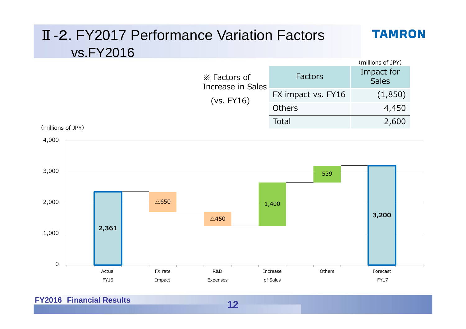

**FY2016 Financial Results**

**12**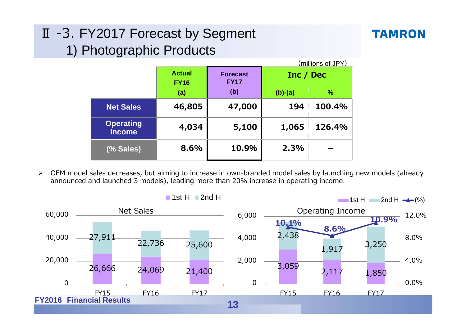## Ⅱ -3. FY2017 Forecast by Segment 1) Photographic Products

|                                   |                                                                |        |           | (millions of JPY) |
|-----------------------------------|----------------------------------------------------------------|--------|-----------|-------------------|
|                                   | <b>Actual</b><br><b>Forecast</b><br><b>FY17</b><br><b>FY16</b> |        | Inc / Dec |                   |
|                                   | (a)                                                            | (b)    | $(b)-(a)$ | $\frac{9}{6}$     |
| <b>Net Sales</b>                  | 46,805                                                         | 47,000 | 194       | 100.4%            |
| <b>Operating</b><br><b>Income</b> | 4,034                                                          | 5,100  | 1,065     | 126.4%            |
| (% Sales)                         | 8.6%                                                           | 10.9%  | 2.3%      |                   |

 $\blacktriangleright$  OEM model sales decreases, but aiming to increase in own-branded model sales by launching new models (already announced and launched 3 models), leading more than 20% increase in operating income.

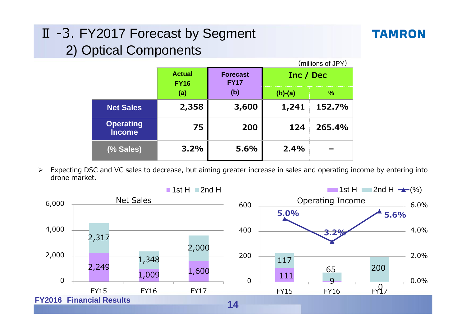## Ⅱ -3. FY2017 Forecast by Segment 2) Optical Components

#### **TAMRON**

|                                   |                              |                                |           | (millions of JPY) |
|-----------------------------------|------------------------------|--------------------------------|-----------|-------------------|
|                                   | <b>Actual</b><br><b>FY16</b> | <b>Forecast</b><br><b>FY17</b> | Inc / Dec |                   |
|                                   | (a)                          | (b)                            | $(b)-(a)$ | $\frac{9}{6}$     |
| <b>Net Sales</b>                  | 2,358                        | 3,600                          | 1,241     | 152.7%            |
| <b>Operating</b><br><b>Income</b> | 75                           | 200                            | 124       | 265.4%            |
| (% Sales)                         | 3.2%                         | 5.6%                           | 2.4%      |                   |

 $\blacktriangleright$  Expecting DSC and VC sales to decrease, but aiming greater increase in sales and operating income by entering into drone market.

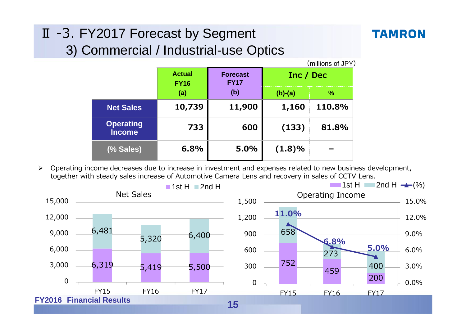# Ⅱ -3. FY2017 Forecast by Segment

## **TAMRON**

## 3) Commercial / Industrial-use Optics

|                                   |                              |                                |           | (millions of JPY) |
|-----------------------------------|------------------------------|--------------------------------|-----------|-------------------|
|                                   | <b>Actual</b><br><b>FY16</b> | <b>Forecast</b><br><b>FY17</b> | Inc / Dec |                   |
|                                   | (a)                          | (b)                            | $(b)-(a)$ | %                 |
| <b>Net Sales</b>                  | 10,739                       | 11,900                         | 1,160     | 110.8%            |
| <b>Operating</b><br><b>Income</b> | 733                          | 600                            | (133)     | 81.8%             |
| (% Sales)                         | 6.8%                         | 5.0%                           | $(1.8)\%$ |                   |

 $\blacktriangleright$  Operating income decreases due to increase in investment and expenses related to new business development, together with steady sales increase of Automotive Camera Lens and recovery in sales of CCTV Lens.

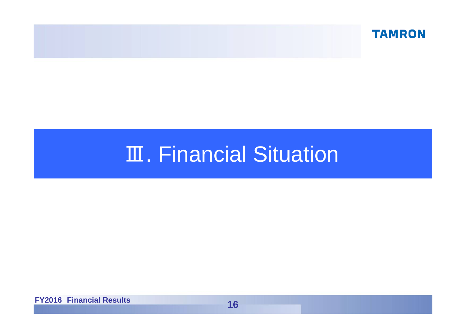

# Ⅲ. Financial Situation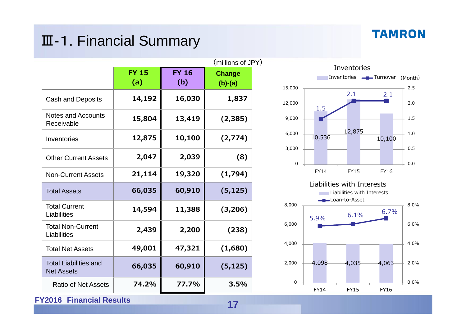## Ⅲ-1. Financial Summary

#### **TAMRON**

|                                                   | <b>FY 15</b> | <b>FY 16</b> | (millions of JPY)          |
|---------------------------------------------------|--------------|--------------|----------------------------|
|                                                   | (a)          | (b)          | <b>Change</b><br>$(b)-(a)$ |
| <b>Cash and Deposits</b>                          | 14,192       | 16,030       | 1,837                      |
| <b>Notes and Accounts</b><br>Receivable           | 15,804       | 13,419       | (2,385)                    |
| Inventories                                       | 12,875       | 10,100       | (2,774)                    |
| <b>Other Current Assets</b>                       | 2,047        | 2,039        | (8)                        |
| <b>Non-Current Assets</b>                         | 21,114       | 19,320       | (1,794)                    |
| <b>Total Assets</b>                               | 66,035       | 60,910       | (5, 125)                   |
| <b>Total Current</b><br>Liabilities               | 14,594       | 11,388       | (3, 206)                   |
| <b>Total Non-Current</b><br>Liabilities           | 2,439        | 2,200        | (238)                      |
| <b>Total Net Assets</b>                           | 49,001       | 47,321       | (1,680)                    |
| <b>Total Liabilities and</b><br><b>Net Assets</b> | 66,035       | 60,910       | (5, 125)                   |
| <b>Ratio of Net Assets</b>                        | 74.2%        | 77.7%        | 3.5%                       |

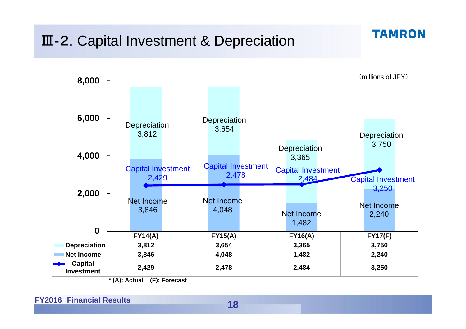## Ⅲ-2. Capital Investment & Depreciation

**TAMRON** 



**\* (A): Actual (F): Forecast**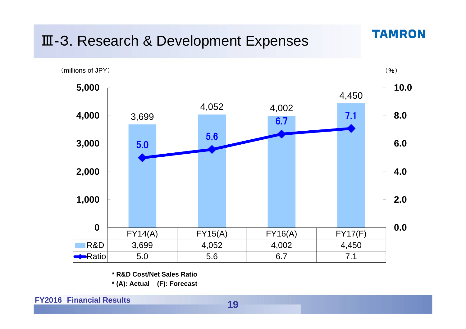## Ⅲ-3. Research & Development Expenses



**TAMRON** 

**\* R&D Cost/Net Sales Ratio**

**\* (A): Actual (F): Forecast**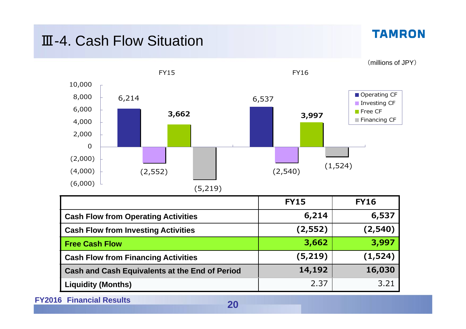## Ⅲ-4. Cash Flow Situation

**TAMRON** 

(millions of JPY)



|                                                       | <b>FY15</b> | <b>FY16</b> |
|-------------------------------------------------------|-------------|-------------|
| <b>Cash Flow from Operating Activities</b>            | 6,214       | 6,537       |
| <b>Cash Flow from Investing Activities</b>            | (2, 552)    | (2,540)     |
| Free Cash Flow                                        | 3,662       | 3,997       |
| <b>Cash Flow from Financing Activities</b>            | (5,219)     | (1, 524)    |
| <b>Cash and Cash Equivalents at the End of Period</b> | 14,192      | 16,030      |
| <b>Liquidity (Months)</b>                             | 2.37        | 3.21        |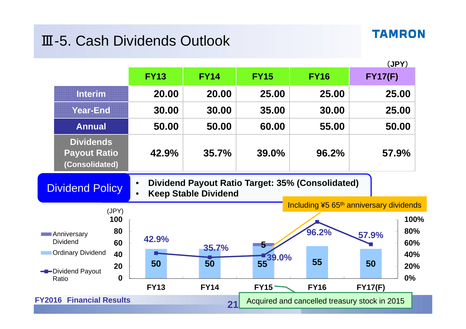## Ⅲ-5. Cash Dividends Outlook

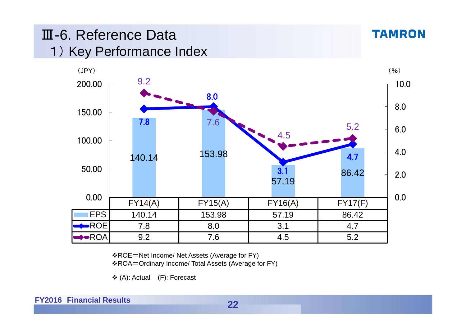## Ⅲ-6. Reference Data1) Key Performance Index



ROE=Net Income/ Net Assets (Average for FY)

ROA=Ordinary Income/ Total Assets (Average for FY)

(A): Actual (F): Forecast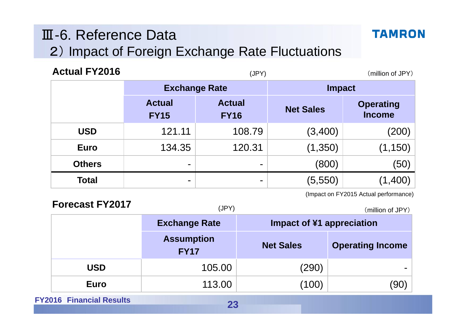## Ⅲ-6. Reference Data 2) Impact of Foreign Exchange Rate Fluctuations

| <b>Actual FY2016</b> |                              | (JPY)                        |                  | (million of JPY)                  |  |
|----------------------|------------------------------|------------------------------|------------------|-----------------------------------|--|
|                      | <b>Exchange Rate</b>         |                              |                  | <b>Impact</b>                     |  |
|                      | <b>Actual</b><br><b>FY15</b> | <b>Actual</b><br><b>FY16</b> | <b>Net Sales</b> | <b>Operating</b><br><b>Income</b> |  |
| <b>USD</b>           | 121.11                       | 108.79                       | (3,400)          | $(200)\mid$                       |  |
| <b>Euro</b>          | 134.35                       | 120.31                       | (1,350)          | (1, 150)                          |  |
| <b>Others</b>        | ۰                            | $\blacksquare$               | (800)            | (50)                              |  |
| <b>Total</b>         | ۰                            | -                            | (5, 550)         |                                   |  |

(Impact on FY2015 Actual performance)

| <b>Forecast FY2017</b> | (JPY)                            | (million of JPY)          |                         |
|------------------------|----------------------------------|---------------------------|-------------------------|
|                        | <b>Exchange Rate</b>             | Impact of ¥1 appreciation |                         |
|                        | <b>Assumption</b><br><b>FY17</b> | <b>Net Sales</b>          | <b>Operating Income</b> |
| USD                    | 105.00                           | (290)                     |                         |
| <b>Euro</b>            | 113.00                           | (100)                     | 90)                     |

**FY2016 Financial Results**

**TAMRON**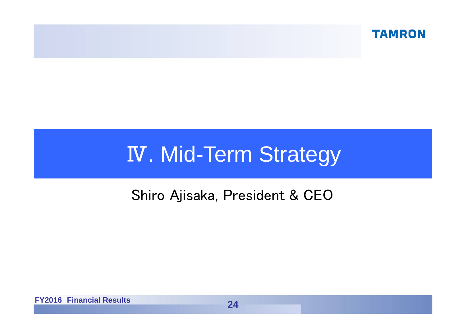

# **IV. Mid-Term Strategy**

## Shiro Ajisaka, President & CEO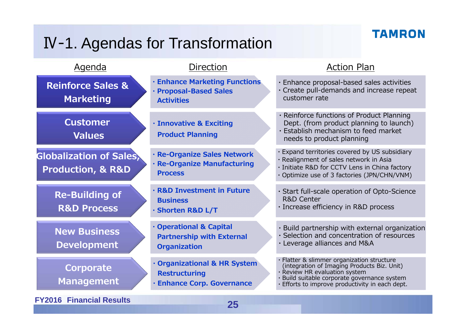## Ⅳ-1. Agendas for Transformation

## **TAMRON**

| <b>Agenda</b>                                                      | <b>Direction</b>                                                                        | <b>Action Plan</b>                                                                                                                                                                                                    |
|--------------------------------------------------------------------|-----------------------------------------------------------------------------------------|-----------------------------------------------------------------------------------------------------------------------------------------------------------------------------------------------------------------------|
| <b>Reinforce Sales &amp;</b><br><b>Marketing</b>                   | <b>· Enhance Marketing Functions</b><br>· Proposal-Based Sales<br><b>Activities</b>     | · Enhance proposal-based sales activities<br>· Create pull-demands and increase repeat<br>customer rate                                                                                                               |
| <b>Customer</b><br><b>Values</b>                                   | <b>· Innovative &amp; Exciting</b><br><b>Product Planning</b>                           | Reinforce functions of Product Planning<br>Dept. (from product planning to launch)<br>· Establish mechanism to feed market<br>needs to product planning                                                               |
| <b>Globalization of Sales,</b><br><b>Production, &amp; R&amp;D</b> | · Re-Organize Sales Network<br>· Re-Organize Manufacturing<br><b>Process</b>            | Expand territories covered by US subsidiary<br>· Realignment of sales network in Asia<br>· Initiate R&D for CCTV Lens in China factory<br>· Optimize use of 3 factories (JPN/CHN/VNM)                                 |
| <b>Re-Building of</b><br><b>R&amp;D Process</b>                    | · R&D Investment in Future<br><b>Business</b><br>· Shorten R&D L/T                      | · Start full-scale operation of Opto-Science<br><b>R&amp;D Center</b><br>· Increase efficiency in R&D process                                                                                                         |
| <b>New Business</b><br><b>Development</b>                          | · Operational & Capital<br><b>Partnership with External</b><br><b>Organization</b>      | · Build partnership with external organization<br>· Selection and concentration of resources<br>· Leverage alliances and M&A                                                                                          |
| Corporate<br><b>Management</b>                                     | · Organizational & HR System<br><b>Restructuring</b><br><b>Enhance Corp. Governance</b> | Flatter & slimmer organization structure<br>(integration of Imaging Products Biz. Unit)<br>Review HR evaluation system<br>Build suitable corporate governance system<br>Efforts to improve productivity in each dept. |
| <b>FY2016 Financial Results</b>                                    | 25                                                                                      |                                                                                                                                                                                                                       |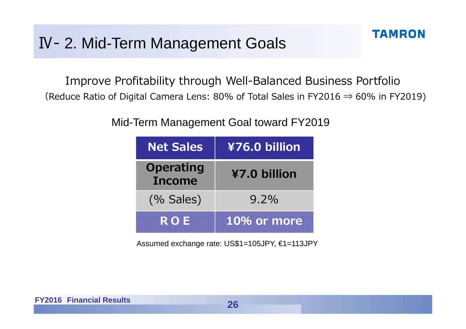Improve Profitability through Well-Balanced Business Portfolio (Reduce Ratio of Digital Camera Lens: 80% of Total Sales in FY2016  $\Rightarrow$  60% in FY2019)

#### Mid-Term Management Goal toward FY2019

| <b>Net Sales</b>                  | ¥76.0 billion |
|-----------------------------------|---------------|
| <b>Operating</b><br><b>Income</b> | ¥7.0 billion  |
| (% Sales)                         | $9.2\%$       |
| <b>ROIE</b>                       | 10% or more   |

Assumed exchange rate: US\$1=105JPY, €1=113JPY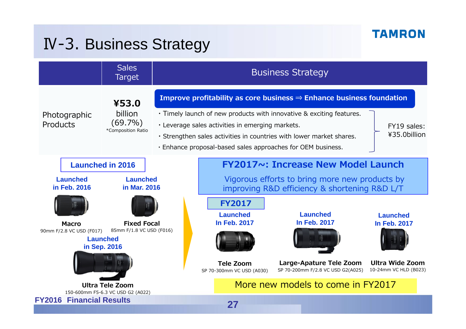## Ⅳ-3. Business Strategy

|                                                                                            | <b>Sales</b><br>Target                                      |                                                                                                                                                                                                                                                                                                                                                                                    |                                                              | <b>Business Strategy</b>                                                                                                                     |  |
|--------------------------------------------------------------------------------------------|-------------------------------------------------------------|------------------------------------------------------------------------------------------------------------------------------------------------------------------------------------------------------------------------------------------------------------------------------------------------------------------------------------------------------------------------------------|--------------------------------------------------------------|----------------------------------------------------------------------------------------------------------------------------------------------|--|
| Photographic<br>Products                                                                   | ¥53.0<br>billion<br>$(69.7\%)$<br>*Composition Ratio        | Improve profitability as core business $\Rightarrow$ Enhance business foundation<br>. Timely launch of new products with innovative & exciting features.<br>. Leverage sales activities in emerging markets.<br>FY19 sales:<br>¥35.0billion<br>· Strengthen sales activities in countries with lower market shares.<br>. Enhance proposal-based sales approaches for OEM business. |                                                              |                                                                                                                                              |  |
| <b>Launched</b><br>in Feb. 2016                                                            | <b>Launched in 2016</b><br><b>Launched</b><br>in Mar. 2016  |                                                                                                                                                                                                                                                                                                                                                                                    |                                                              | <b>FY2017~: Increase New Model Launch</b><br>Vigorous efforts to bring more new products by<br>improving R&D efficiency & shortening R&D L/T |  |
| <b>Fixed Focal</b><br><b>Macro</b><br>85mm F/1.8 VC USD (F016)<br>90mm F/2.8 VC USD (F017) |                                                             | <b>FY2017</b><br><b>Launched</b><br><b>In Feb. 2017</b>                                                                                                                                                                                                                                                                                                                            | <b>Launched</b><br><b>In Feb. 2017</b>                       | <b>Launched</b><br><b>In Feb. 2017</b>                                                                                                       |  |
| <b>Launched</b><br>in Sep. 2016                                                            |                                                             | <b>Tele Zoom</b><br>SP 70-300mm VC USD (A030)                                                                                                                                                                                                                                                                                                                                      | Large-Apature Tele Zoom<br>SP 70-200mm F/2.8 VC USD G2(A025) | <b>Ultra Wide Zoom</b><br>10-24mm VC HLD (B023)                                                                                              |  |
| <b>Financial Results</b><br><b>FY2016</b>                                                  | <b>Ultra Tele Zoom</b><br>150-600mm F5-6.3 VC USD G2 (A022) |                                                                                                                                                                                                                                                                                                                                                                                    | 27                                                           | More new models to come in FY2017                                                                                                            |  |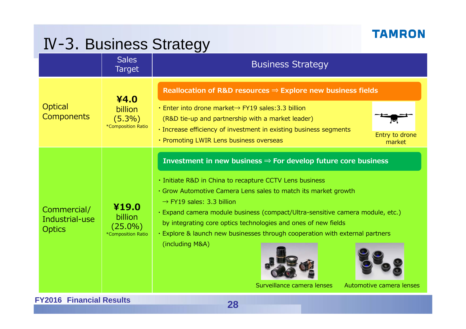## Ⅳ-3. Business Strategy

|                                                | <b>Sales</b><br><b>Target</b>                        | <b>Business Strategy</b>                                                                                                                                                                                                                                                                                                                                                                                                                                                                                                                                        |
|------------------------------------------------|------------------------------------------------------|-----------------------------------------------------------------------------------------------------------------------------------------------------------------------------------------------------------------------------------------------------------------------------------------------------------------------------------------------------------------------------------------------------------------------------------------------------------------------------------------------------------------------------------------------------------------|
| Optical<br><b>Components</b>                   | ¥4.0<br>billion<br>$(5.3\%)$<br>*Composition Ratio   | Reallocation of R&D resources $\Rightarrow$ Explore new business fields<br>. Enter into drone market→ FY19 sales: 3.3 billion<br>(R&D tie-up and partnership with a market leader)<br>· Increase efficiency of investment in existing business segments<br>Entry to drone<br>• Promoting LWIR Lens business overseas<br>market                                                                                                                                                                                                                                  |
| Commercial/<br>Industrial-use<br><b>Optics</b> | ¥19.0<br>billion<br>$(25.0\%)$<br>*Composition Ratio | Investment in new business $\Rightarrow$ For develop future core business<br>· Initiate R&D in China to recapture CCTV Lens business<br>· Grow Automotive Camera Lens sales to match its market growth<br>$\rightarrow$ FY19 sales: 3.3 billion<br>· Expand camera module business (compact/Ultra-sensitive camera module, etc.)<br>by integrating core optics technologies and ones of new fields<br>· Explore & launch new businesses through cooperation with external partners<br>(including M&A)<br>Surveillance camera lenses<br>Automotive camera lenses |
| <b>FY2016 Financial Results</b>                |                                                      | ΩΩ                                                                                                                                                                                                                                                                                                                                                                                                                                                                                                                                                              |

**28**